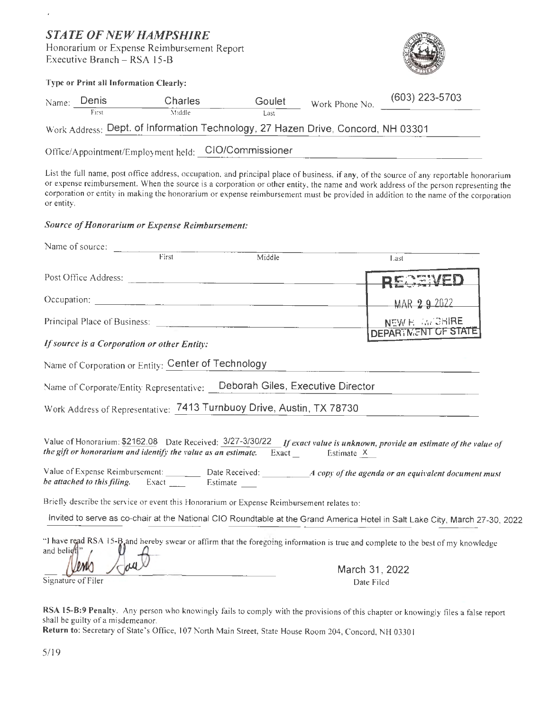# *STATE OF NEW HAMPSHIRE*

l,

Honorarium or Expense Reimbursement Report Executive Branch - RSA 15-B



|       | Type or Print all Information Clearly: |                                     |                                                                                  |                |                  |  |  |  |
|-------|----------------------------------------|-------------------------------------|----------------------------------------------------------------------------------|----------------|------------------|--|--|--|
| Name: | Denis                                  | <b>Charles</b>                      | Goulet                                                                           | Work Phone No. | $(603)$ 223-5703 |  |  |  |
|       | First                                  | Middle                              | Last                                                                             |                |                  |  |  |  |
|       |                                        |                                     | Work Address: Dept. of Information Technology, 27 Hazen Drive, Concord, NH 03301 |                |                  |  |  |  |
|       |                                        | Office/Appointment/Employment held: | CIO/Commissioner                                                                 |                |                  |  |  |  |

List the full name, post office address, occupation, and principal place of business, if any, of the source of any reportable honorarium or expense reimbursement. When the source is a corporation or other entity, the name and work address of the person representing the corporation or entity in making the honorarium or expense reimbursement must be provided in addition to the name of the corporation or entity.

### *Source of Honorarium or Expense Reimbursement:*

| Name of source:                                            |       |                                                                                                                 |                                                                                                                                  |
|------------------------------------------------------------|-------|-----------------------------------------------------------------------------------------------------------------|----------------------------------------------------------------------------------------------------------------------------------|
|                                                            | First | Middle                                                                                                          | Last                                                                                                                             |
| Post Office Address:                                       |       |                                                                                                                 |                                                                                                                                  |
|                                                            |       |                                                                                                                 | MAR 292022                                                                                                                       |
|                                                            |       | Principal Place of Business:                                                                                    | NEW H. M. GHIRE                                                                                                                  |
| If source is a Corporation or other Entity:                |       |                                                                                                                 | DEPARTMENT OF STATE                                                                                                              |
| Name of Corporation or Entity: Center of Technology        |       |                                                                                                                 |                                                                                                                                  |
|                                                            |       | Name of Corporate/Entity Representative:  Deborah Giles, Executive Director                                     |                                                                                                                                  |
|                                                            |       | Work Address of Representative: 7413 Turnbuoy Drive, Austin, TX 78730                                           |                                                                                                                                  |
|                                                            |       | the gift or honorarium and identify the value as an estimate. Exact $\frac{1}{\sqrt{2}}$ Estimate $\frac{X}{X}$ | Value of Honorarium: \$2162.08 Date Received: 3/27-3/30/22 If exact value is unknown, provide an estimate of the value of        |
| be attached to this filing. Exact ________ Estimate ______ |       |                                                                                                                 |                                                                                                                                  |
|                                                            |       | Briefly describe the service or event this Honorarium or Expense Reimbursement relates to:                      |                                                                                                                                  |
|                                                            |       |                                                                                                                 | Invited to serve as co-chair at the National CIO Roundtable at the Grand America Hotel in Salt Lake City, March 27-30, 2022      |
| and belieff!"                                              |       |                                                                                                                 | "I have read RSA 15-B and hereby swear or affirm that the foregoing information is true and complete to the best of my knowledge |
|                                                            |       |                                                                                                                 | March 31, 2022                                                                                                                   |

**RSA 15-8:9 Penalty.** Any person who knowingly fails to comply with the provisions of this chapter or knowingly files a false report shall be guilty of a misdemeanor.

Date Filed

Return to: Secretary of State's Office, 107 North Main Street, State House Room 204, Concord, NH 03301

Signature of Filer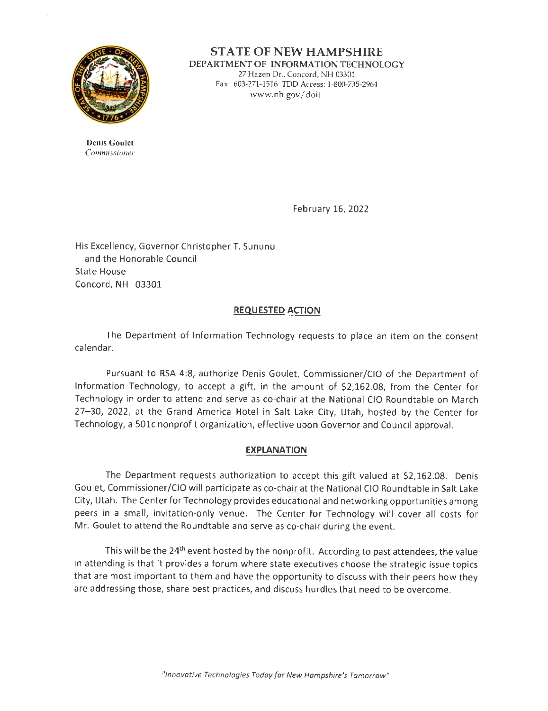

**STATE OF NEW HAMPSHIRE DEPARTMENT OF INFORMATION TECHNOLOGY**  27 Hazen Dr., Concord, NH 03301 Fax: 603-271-1516 TDD Access: 1-800-735-2964 www.nh.gov/ doit

**Denis Goulet**  Commissioner

February 16, 2022

His Excellency, Governor Christopher T. Sununu and the Honorable Council State House Concord, NH 03301

# **REQUESTED ACTION**

The Department of Information Technology requests to place an item on the consent calendar.

Pursuant to RSA 4:8, authorize Denis Goulet, Commissioner/Clo of the Department of Information Technology, to accept a gift, in the amount of \$2,162.08, from the Center for Technology in order to attend and serve as co-chair at the National CIO Roundtable on March 27- 30, 2022, at the Grand America Hotel in Salt Lake City, Utah, hosted by the Center for Technology, a 501c nonprofit organization, effective upon Governor and Council approval.

# **EXPLANATION**

The Department requests authorization to accept this gift valued at \$2,162.08. Denis Goulet, Commissioner/Clo will participate as co-chair at the National CIO Roundtable in Salt Lake City, Utah. The Center for Technology provides educational and networking opportunities among peers in a small, invitation-only venue. The Center for Technology will cover all costs for Mr. Goulet to attend the Roundtable and serve as co-chair during the event.

This will be the 24<sup>th</sup> event hosted by the nonprofit. According to past attendees, the value in attending is that it provides a forum where state executives choose the strategic issue topics that are most important to them and have the opportunity to discuss with their peers how they are addressing those, share best practices, and discuss hurdles that need to be overcome.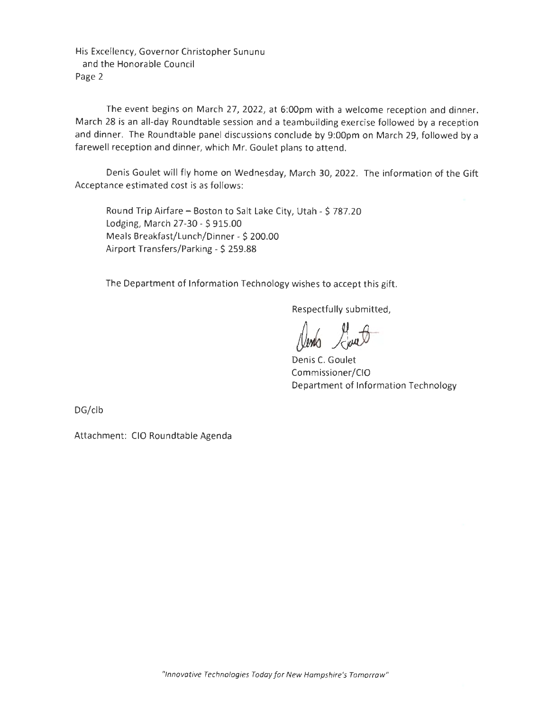His Excellency, Governor Christopher Sununu and the Honorable Council Page 2

The event begins on March 27, 2022, at 6:00pm with a welcome reception and dinner. March 28 is an all-day Roundtable session and a teambuilding exercise followed by a reception and dinner. The Roundtable panel discussions conclude by 9:00pm on March 29, followed by a farewell reception and dinner, which Mr. Goulet plans to attend.

Denis Goulet will fly home on Wednesday, March 30, 2022. The information of the Gift Acceptance estimated cost is as follows:

Round Trip Airfare - Boston to Salt Lake City, Utah - \$ 787.20 Lodging, March 27-30 - \$ 915.00 Meals Breakfast/Lunch/Dinner - \$ 200.00 Airport Transfers/Parking - \$ 259.88

The Department of Information Technology wishes to accept this gift.

Respectfully submitted,

Denis C. Goulet Commissioner/Clo Department of Information Technology

DG/clb

Attachment: CIO Roundtable Agenda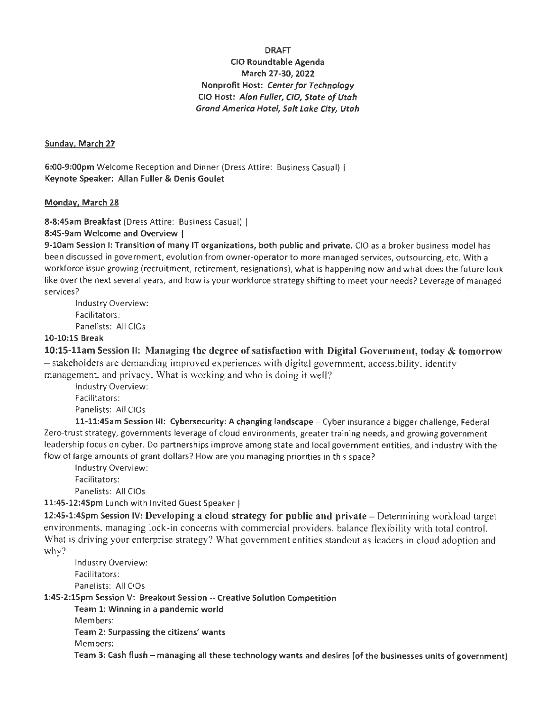### **DRAFT**

## **CIO Roundtable Agenda March 27-30, 2022 Nonprofit Host: Center for Technology CIO Host: Alan Fuller, C/O, State of Utah Grand America Hotel, Salt Lake City, Utah**

### **Sunday. March 27**

**6:00-9:00pm** Welcome Reception and Dinner (Dress Attire: Business Casual) I **Keynote Speaker: Allan Fuller** & **Denis Goulet** 

#### **Monday, March 28**

**8-8:4Sam Breakfast** (Dress Attire: Business Casual) I

#### **8:45-9am Welcome and Overview** I

**9-l0am Session** I: **Transition of many** IT **organizations, both public and private.** CIO as a broker business model has been discussed in government, evolution from owner-operator to more managed services, outsourcing, etc. With a workforce issue growing (recruitment, retirement, resignations), what is happening now and what does the future look like over the next several years, and how is your workforce strategy shifting to meet your needs? Leverage of managed services?

Industry Overview: Facilitators: Panelists: All CIOs

#### **10-10:15 Break**

**10:15-llam Session** II: **Managing the degree of satisfaction with Digital Government, today** & **tomorrow**  - stakeholders are demanding improved experiences with digital government, accessibility, identify management, and privacy. What is working and who is doing it well?

Industry Overview: Facilitators: Panelists: All CIOs

**11-11:45am Session Ill: Cybersecurity: A changing landscape** - Cyber insurance a bigger challenge, Federal Zero-trust strategy, governments leverage of cloud environments, greater training needs, and growing government leadership focus on cyber. Do partnerships improve among state and local government entities, and industry with the flow of large amounts of grant dollars? How are you managing priorities in this space?

Industry Overview: Facilitators: Panelists: All CIOs

**11:45-12:4Spm** Lunch with Invited Guest Speaker I

**12:45-1:4Spm Session IV: Developing a cloud strategy for public and private – Determining workload target** environments, managing lock-in concerns with commercial providers, balance flexibility with total control. What is driving your enterprise strategy? What government entities standout as leaders in cloud adoption and why?

Industry Overview: Facilitators: Panelists: All CIOs

**1:45-2:lSpm Session V: Breakout Session** -- **Creative Solution Competition** 

**Team 1: Winning in a pandemic world**  Members:

**Team 2: Surpassing the citizens' wants** 

Members:

**Team 3: Cash flush** - **managing all these technology wants and desires (of the businesses units of government)**